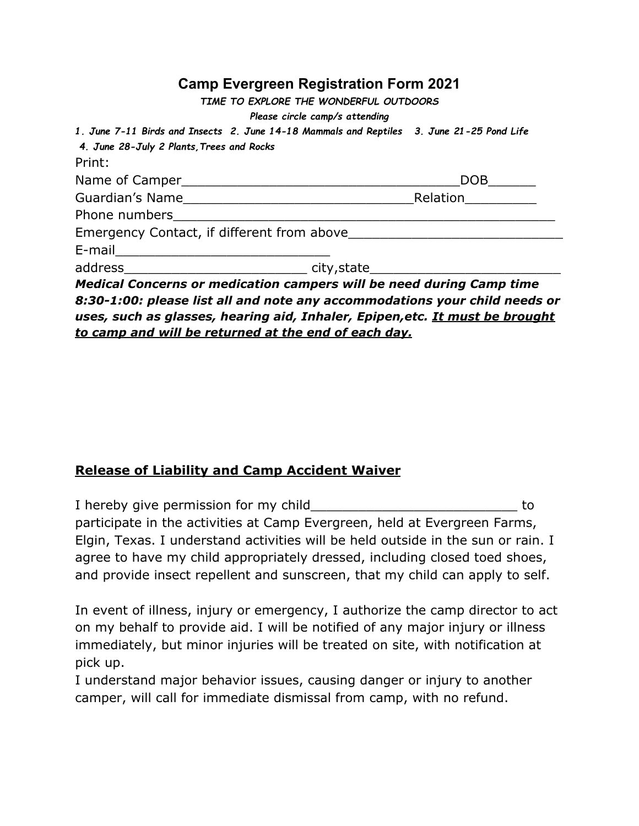## **Camp Evergreen Registration Form 2021**

| 1. June 7-11 Birds and Insects 2. June 14-18 Mammals and Reptiles 3. June 21-25 Pond Life |
|-------------------------------------------------------------------------------------------|
|                                                                                           |
| DOB <sub>a</sub>                                                                          |
| Relation Electric Management Property                                                     |
|                                                                                           |
| Emergency Contact, if different from above                                                |
|                                                                                           |
|                                                                                           |
|                                                                                           |

*Medical Concerns or medication campers will be need during Camp time 8:30-1:00: please list all and note any accommodations your child needs or uses, such as glasses, hearing aid, Inhaler, Epipen,etc. It must be brought to camp and will be returned at the end of each day.*

## **Release of Liability and Camp Accident Waiver**

I hereby give permission for my child Theorem and the state of the state of the state of the state of the state of the state of the state of the state of the state of the state of the state of the state of the state of the participate in the activities at Camp Evergreen, held at Evergreen Farms, Elgin, Texas. I understand activities will be held outside in the sun or rain. I agree to have my child appropriately dressed, including closed toed shoes, and provide insect repellent and sunscreen, that my child can apply to self.

In event of illness, injury or emergency, I authorize the camp director to act on my behalf to provide aid. I will be notified of any major injury or illness immediately, but minor injuries will be treated on site, with notification at pick up.

I understand major behavior issues, causing danger or injury to another camper, will call for immediate dismissal from camp, with no refund.